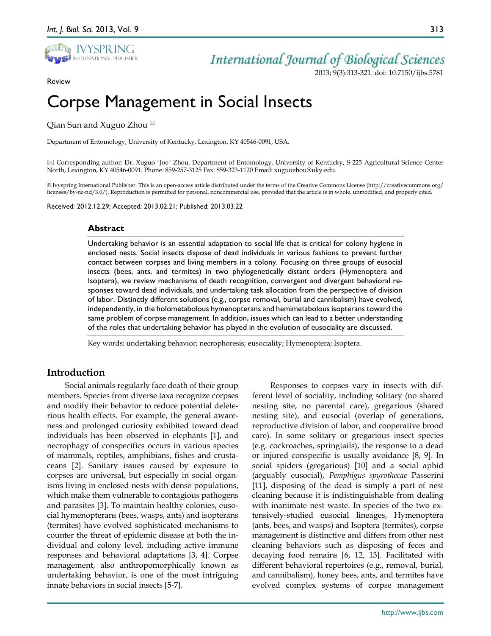

Review

## *International Journal of Biological Sciences*

2013; 9(3):313-321. doi: 10.7150/ijbs.5781

# Corpse Management in Social Insects

Qian Sun and Xuguo Zhou  $^{\boxtimes}$ 

Department of Entomology, University of Kentucky, Lexington, KY 40546-0091, USA.

 $\boxtimes$  Corresponding author: Dr. Xuguo "Joe" Zhou, Department of Entomology, University of Kentucky, S-225 Agricultural Science Center North, Lexington, KY 40546-0091. Phone: 859-257-3125 Fax: 859-323-1120 Email: xuguozhou@uky.edu.

© Ivyspring International Publisher. This is an open-access article distributed under the terms of the Creative Commons License (http://creativecommons.org/ licenses/by-nc-nd/3.0/). Reproduction is permitted for personal, noncommercial use, provided that the article is in whole, unmodified, and properly cited.

Received: 2012.12.29; Accepted: 2013.02.21; Published: 2013.03.22

#### **Abstract**

Undertaking behavior is an essential adaptation to social life that is critical for colony hygiene in enclosed nests. Social insects dispose of dead individuals in various fashions to prevent further contact between corpses and living members in a colony. Focusing on three groups of eusocial insects (bees, ants, and termites) in two phylogenetically distant orders (Hymenoptera and Isoptera), we review mechanisms of death recognition, convergent and divergent behavioral responses toward dead individuals, and undertaking task allocation from the perspective of division of labor. Distinctly different solutions (e.g., corpse removal, burial and cannibalism) have evolved, independently, in the holometabolous hymenopterans and hemimetabolous isopterans toward the same problem of corpse management. In addition, issues which can lead to a better understanding of the roles that undertaking behavior has played in the evolution of eusociality are discussed.

Key words: undertaking behavior; necrophoresis; eusociality; Hymenoptera; Isoptera.

#### **Introduction**

Social animals regularly face death of their group members. Species from diverse taxa recognize corpses and modify their behavior to reduce potential deleterious health effects. For example, the general awareness and prolonged curiosity exhibited toward dead individuals has been observed in elephants [\[1\]](#page-7-0), and necrophagy of conspecifics occurs in various species of mammals, reptiles, amphibians, fishes and crustaceans [\[2\]](#page-7-1). Sanitary issues caused by exposure to corpses are universal, but especially in social organisms living in enclosed nests with dense populations, which make them vulnerable to contagious pathogens and parasites [\[3\]](#page-7-2). To maintain healthy colonies, eusocial hymenopterans (bees, wasps, ants) and isopterans (termites) have evolved sophisticated mechanisms to counter the threat of epidemic disease at both the individual and colony level, including active immune responses and behavioral adaptations [\[3,](#page-7-2) [4\]](#page-7-3). Corpse management, also anthropomorphically known as undertaking behavior, is one of the most intriguing innate behaviors in social insects [\[5-7\]](#page-7-4).

Responses to corpses vary in insects with different level of sociality, including solitary (no shared nesting site, no parental care), gregarious (shared nesting site), and eusocial (overlap of generations, reproductive division of labor, and cooperative brood care). In some solitary or gregarious insect species (e.g. cockroaches, springtails), the response to a dead or injured conspecific is usually avoidance [\[8,](#page-7-5) [9\]](#page-7-6). In social spiders (gregarious) [\[10\]](#page-7-7) and a social aphid (arguably eusocial), *Pemphigus spyrothecae* Passerini [\[11\]](#page-7-8), disposing of the dead is simply a part of nest cleaning because it is indistinguishable from dealing with inanimate nest waste. In species of the two extensively-studied eusocial lineages, Hymenoptera (ants, bees, and wasps) and Isoptera (termites), corpse management is distinctive and differs from other nest cleaning behaviors such as disposing of feces and decaying food remains [\[6,](#page-7-9) [12,](#page-7-10) [13\]](#page-7-11). Facilitated with different behavioral repertoires (e.g., removal, burial, and cannibalism), honey bees, ants, and termites have evolved complex systems of corpse management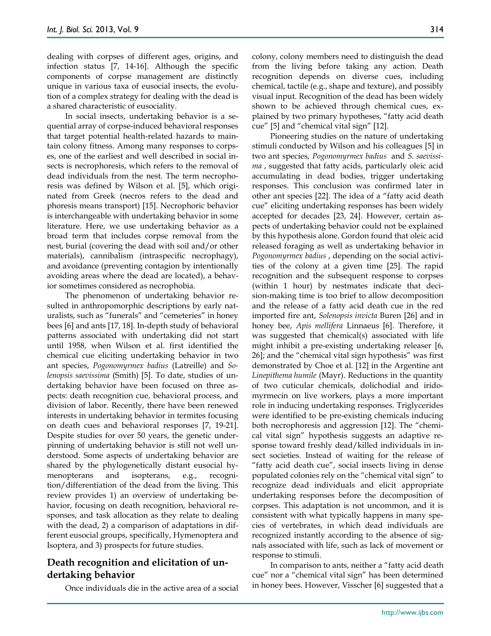dealing with corpses of different ages, origins, and infection status [\[7,](#page-7-12) [14-16\]](#page-7-13). Although the specific components of corpse management are distinctly unique in various taxa of eusocial insects, the evolution of a complex strategy for dealing with the dead is a shared characteristic of eusociality.

In social insects, undertaking behavior is a sequential array of corpse-induced behavioral responses that target potential health-related hazards to maintain colony fitness. Among many responses to corpses, one of the earliest and well described in social insects is necrophoresis, which refers to the removal of dead individuals from the nest. The term necrophoresis was defined by Wilson et al. [\[5\]](#page-7-4), which originated from Greek (necros refers to the dead and phoresis means transport) [\[15\]](#page-7-14). Necrophoric behavior is interchangeable with undertaking behavior in some literature. Here, we use undertaking behavior as a broad term that includes corpse removal from the nest, burial (covering the dead with soil and/or other materials), cannibalism (intraspecific necrophagy), and avoidance (preventing contagion by intentionally avoiding areas where the dead are located), a behavior sometimes considered as necrophobia.

The phenomenon of undertaking behavior resulted in anthropomorphic descriptions by early naturalists, such as "funerals" and "cemeteries" in honey bees [\[6\]](#page-7-9) and ants [\[17,](#page-7-15) [18\]](#page-7-16). In-depth study of behavioral patterns associated with undertaking did not start until 1958, when Wilson et al. first identified the chemical cue eliciting undertaking behavior in two ant species, *Pogonomyrmex badius* (Latreille) and *Solenopsis saevissima* (Smith) [\[5\]](#page-7-4). To date, studies of undertaking behavior have been focused on three aspects: death recognition cue, behavioral process, and division of labor. Recently, there have been renewed interests in undertaking behavior in termites focusing on death cues and behavioral responses [\[7,](#page-7-12) [19-21\]](#page-7-17). Despite studies for over 50 years, the genetic underpinning of undertaking behavior is still not well understood. Some aspects of undertaking behavior are shared by the phylogenetically distant eusocial hymenopterans and isopterans, e.g., recognition/differentiation of the dead from the living. This review provides 1) an overview of undertaking behavior, focusing on death recognition, behavioral responses, and task allocation as they relate to dealing with the dead, 2) a comparison of adaptations in different eusocial groups, specifically, Hymenoptera and Isoptera, and 3) prospects for future studies.

### **Death recognition and elicitation of undertaking behavior**

Once individuals die in the active area of a social

colony, colony members need to distinguish the dead from the living before taking any action. Death recognition depends on diverse cues, including chemical, tactile (e.g., shape and texture), and possibly visual input. Recognition of the dead has been widely shown to be achieved through chemical cues, explained by two primary hypotheses, "fatty acid death cue" [\[5\]](#page-7-4) and "chemical vital sign" [\[12\]](#page-7-10).

Pioneering studies on the nature of undertaking stimuli conducted by Wilson and his colleagues [\[5\]](#page-7-4) in two ant species, *Pogonomyrmex badius* and *S. saevissima* , suggested that fatty acids, particularly oleic acid accumulating in dead bodies, trigger undertaking responses. This conclusion was confirmed later in other ant species [\[22\]](#page-7-18). The idea of a "fatty acid death cue" eliciting undertaking responses has been widely accepted for decades [\[23,](#page-7-19) [24\]](#page-7-20). However, certain aspects of undertaking behavior could not be explained by this hypothesis alone. Gordon found that oleic acid released foraging as well as undertaking behavior in *Pogonomyrmex badius* , depending on the social activities of the colony at a given time [\[25\]](#page-7-21). The rapid recognition and the subsequent response to corpses (within 1 hour) by nestmates indicate that decision-making time is too brief to allow decomposition and the release of a fatty acid death cue in the red imported fire ant, *Solenopsis invicta* Buren [\[26\]](#page-7-22) and in honey bee, *Apis mellifera* Linnaeus [\[6\]](#page-7-9). Therefore, it was suggested that chemical(s) associated with life might inhibit a pre-existing undertaking releaser [\[6,](#page-7-9) [26\]](#page-7-22); and the "chemical vital sign hypothesis" was first demonstrated by Choe et al. [\[12\]](#page-7-10) in the Argentine ant *Linepithema humile* (Mayr). Reductions in the quantity of two cuticular chemicals, dolichodial and iridomyrmecin on live workers, plays a more important role in inducing undertaking responses. Triglycerides were identified to be pre-existing chemicals inducing both necrophoresis and aggression [\[12\]](#page-7-10). The "chemical vital sign" hypothesis suggests an adaptive response toward freshly dead/killed individuals in insect societies. Instead of waiting for the release of "fatty acid death cue", social insects living in dense populated colonies rely on the "chemical vital sign" to recognize dead individuals and elicit appropriate undertaking responses before the decomposition of corpses. This adaptation is not uncommon, and it is consistent with what typically happens in many species of vertebrates, in which dead individuals are recognized instantly according to the absence of signals associated with life, such as lack of movement or response to stimuli.

In comparison to ants, neither a "fatty acid death cue" nor a "chemical vital sign" has been determined in honey bees. However, Visscher [\[6\]](#page-7-9) suggested that a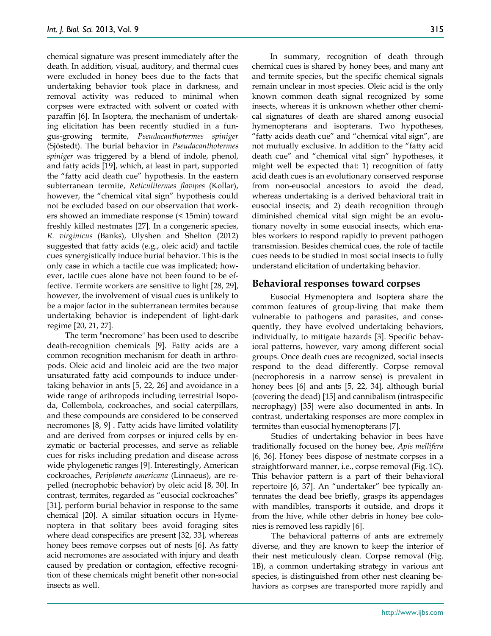chemical signature was present immediately after the death. In addition, visual, auditory, and thermal cues were excluded in honey bees due to the facts that undertaking behavior took place in darkness, and removal activity was reduced to minimal when corpses were extracted with solvent or coated with paraffin [\[6\]](#page-7-9). In Isoptera, the mechanism of undertaking elicitation has been recently studied in a fungus-growing termite, *Pseudacanthotermes spiniger* (Sjöstedt). The burial behavior in *Pseudacanthotermes spiniger* was triggered by a blend of indole, phenol, and fatty acids [\[19\]](#page-7-17), which, at least in part, supported the "fatty acid death cue" hypothesis. In the eastern subterranean termite, *Reticulitermes flavipes* (Kollar), however, the "chemical vital sign" hypothesis could not be excluded based on our observation that workers showed an immediate response (< 15min) toward freshly killed nestmates [\[27\]](#page-7-23). In a congeneric species, *R. virginicus* (Banks), Ulyshen and Shelton (2012) suggested that fatty acids (e.g., oleic acid) and tactile cues synergistically induce burial behavior. This is the only case in which a tactile cue was implicated; however, tactile cues alone have not been found to be effective. Termite workers are sensitive to light [\[28,](#page-7-24) [29\]](#page-7-25), however, the involvement of visual cues is unlikely to be a major factor in the subterranean termites because undertaking behavior is independent of light-dark regime [\[20,](#page-7-26) [21,](#page-7-27) [27\]](#page-7-23).

The term "necromone" has been used to describe death-recognition chemicals [\[9\]](#page-7-6). Fatty acids are a common recognition mechanism for death in arthropods. Oleic acid and linoleic acid are the two major unsaturated fatty acid compounds to induce undertaking behavior in ants [\[5,](#page-7-4) [22,](#page-7-18) [26\]](#page-7-22) and avoidance in a wide range of arthropods including terrestrial Isopoda, Collembola, cockroaches, and social caterpillars, and these compounds are considered to be conserved necromones [\[8,](#page-7-5) [9\]](#page-7-6) . Fatty acids have limited volatility and are derived from corpses or injured cells by enzymatic or bacterial processes, and serve as reliable cues for risks including predation and disease across wide phylogenetic ranges [\[9\]](#page-7-6). Interestingly, American cockroaches, *Periplaneta americana* (Linnaeus), are repelled (necrophobic behavior) by oleic acid [\[8,](#page-7-5) [30\]](#page-7-28). In contrast, termites, regarded as "eusocial cockroaches" [\[31\]](#page-7-29), perform burial behavior in response to the same chemical [\[20\]](#page-7-26). A similar situation occurs in Hymenoptera in that solitary bees avoid foraging sites where dead conspecifics are present [\[32,](#page-7-30) [33\]](#page-7-31), whereas honey bees remove corpses out of nests [\[6\]](#page-7-9). As fatty acid necromones are associated with injury and death caused by predation or contagion, effective recognition of these chemicals might benefit other non-social insects as well.

In summary, recognition of death through chemical cues is shared by honey bees, and many ant and termite species, but the specific chemical signals remain unclear in most species. Oleic acid is the only known common death signal recognized by some insects, whereas it is unknown whether other chemical signatures of death are shared among eusocial hymenopterans and isopterans. Two hypotheses, "fatty acids death cue" and "chemical vital sign", are not mutually exclusive. In addition to the "fatty acid death cue" and "chemical vital sign" hypotheses, it might well be expected that: 1) recognition of fatty acid death cues is an evolutionary conserved response from non-eusocial ancestors to avoid the dead, whereas undertaking is a derived behavioral trait in eusocial insects; and 2) death recognition through diminished chemical vital sign might be an evolutionary novelty in some eusocial insects, which enables workers to respond rapidly to prevent pathogen transmission. Besides chemical cues, the role of tactile cues needs to be studied in most social insects to fully understand elicitation of undertaking behavior.

#### **Behavioral responses toward corpses**

Eusocial Hymenoptera and Isoptera share the common features of group-living that make them vulnerable to pathogens and parasites, and consequently, they have evolved undertaking behaviors, individually, to mitigate hazards [\[3\]](#page-7-2). Specific behavioral patterns, however, vary among different social groups. Once death cues are recognized, social insects respond to the dead differently. Corpse removal (necrophoresis in a narrow sense) is prevalent in honey bees [\[6\]](#page-7-9) and ants [\[5,](#page-7-4) [22,](#page-7-18) [34\]](#page-7-32), although burial (covering the dead) [\[15\]](#page-7-14) and cannibalism (intraspecific necrophagy) [\[35\]](#page-7-33) were also documented in ants. In contrast, undertaking responses are more complex in termites than eusocial hymenopterans [\[7\]](#page-7-12).

Studies of undertaking behavior in bees have traditionally focused on the honey bee, *Apis mellifera*  [\[6,](#page-7-9) [36\]](#page-7-34). Honey bees dispose of nestmate corpses in a straightforward manner, i.e., corpse removal (Fig. 1C). This behavior pattern is a part of their behavioral repertoire [\[6,](#page-7-9) [37\]](#page-7-35). An "undertaker" bee typically antennates the dead bee briefly, grasps its appendages with mandibles, transports it outside, and drops it from the hive, while other debris in honey bee colonies is removed less rapidly [\[6\]](#page-7-9).

The behavioral patterns of ants are extremely diverse, and they are known to keep the interior of their nest meticulously clean. Corpse removal (Fig. 1B), a common undertaking strategy in various ant species, is distinguished from other nest cleaning behaviors as corpses are transported more rapidly and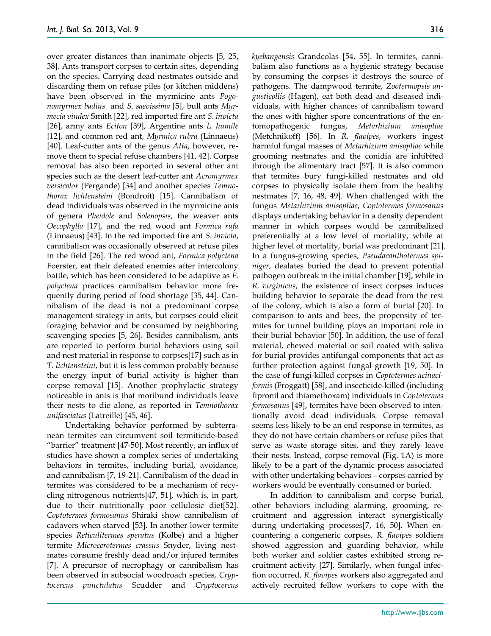over greater distances than inanimate objects [\[5,](#page-7-4) [25,](#page-7-21) [38\]](#page-7-36). Ants transport corpses to certain sites, depending on the species. Carrying dead nestmates outside and discarding them on refuse piles (or kitchen middens) have been observed in the myrmicine ants *Pogonomyrmex badius* and *S. saevissima* [\[5\]](#page-7-4), bull ants *Myrmecia vindex* Smith [\[22\]](#page-7-18), red imported fire ant *S. invicta* [\[26\]](#page-7-22), army ants *Eciton* [\[39\]](#page-7-37), Argentine ants *L. humile*  [\[12\]](#page-7-10), and common red ant, *Myrmica rubra* (Linnaeus) [\[40\]](#page-7-38). Leaf-cutter ants of the genus *Atta*, however, remove them to special refuse chambers [\[41,](#page-7-39) [42\]](#page-7-40). Corpse removal has also been reported in several other ant species such as the desert leaf-cutter ant *Acromyrmex versicolor* (Pergande) [\[34\]](#page-7-32) and another species *Temnothorax lichtensteini* (Bondroit) [\[15\]](#page-7-14). Cannibalism of dead individuals was observed in the myrmicine ants of genera *Pheidole* and *Solenopsis*, the weaver ants *Oecophylla* [\[17\]](#page-7-15), and the red wood ant *Formica rufa* (Linnaeus) [\[43\]](#page-7-41). In the red imported fire ant *S. invicta*, cannibalism was occasionally observed at refuse piles in the field [\[26\]](#page-7-22). The red wood ant, *Formica polyctena*  Foerster*,* eat their defeated enemies after intercolony battle, which has been considered to be adaptive as *F. polyctena* practices cannibalism behavior more frequently during period of food shortage [\[35,](#page-7-33) [44\]](#page-7-42). Cannibalism of the dead is not a predominant corpse management strategy in ants, but corpses could elicit foraging behavior and be consumed by neighboring scavenging species [\[5,](#page-7-4) [26\]](#page-7-22). Besides cannibalism, ants are reported to perform burial behaviors using soil and nest material in response to corpses[\[17\]](#page-7-15) such as in *T. lichtensteini*, but it is less common probably because the energy input of burial activity is higher than corpse removal [\[15\]](#page-7-14). Another prophylactic strategy noticeable in ants is that moribund individuals leave their nests to die alone, as reported in *Temnothorax unifasciatus* (Latreille) [\[45,](#page-7-43) [46\]](#page-7-44).

Undertaking behavior performed by subterranean termites can circumvent soil termiticide-based "barrier" treatment [\[47-50\]](#page-8-0). Most recently, an influx of studies have shown a complex series of undertaking behaviors in termites, including burial, avoidance, and cannibalism [\[7,](#page-7-12) [19-21\]](#page-7-17). Cannibalism of the dead in termites was considered to be a mechanism of recycling nitrogenous nutrients[\[47,](#page-8-0) [51\]](#page-8-1), which is, in part, due to their nutritionally poor cellulosic diet[\[52\]](#page-8-2). *Coptotermes formosanus* Shiraki show cannibalism of cadavers when starved [\[53\]](#page-8-3). In another lower termite species *Reticulitermes speratus* (Kolbe) and a higher termite *Microcerotermes crassus* Snyder, living nestmates consume freshly dead and/or injured termites [\[7\]](#page-7-12). A precursor of necrophagy or cannibalism has been observed in subsocial woodroach species, *Cryptocercus punctulatus* Scudder and *Cryptocercus* 

*kyebangensis* Grandcolas [\[54,](#page-8-4) [55\]](#page-8-5). In termites, cannibalism also functions as a hygienic strategy because by consuming the corpses it destroys the source of pathogens. The dampwood termite, *Zootermopsis angusticollis* (Hagen)*,* eat both dead and diseased individuals, with higher chances of cannibalism toward the ones with higher spore concentrations of the entomopathogenic fungus, *Metarhizium anisopliae* (Metchnikoff) [\[56\]](#page-8-6). In *R. flavipes*, workers ingest harmful fungal masses of *Metarhizium anisopliae* while grooming nestmates and the conidia are inhibited through the alimentary tract [\[57\]](#page-8-7). It is also common that termites bury fungi-killed nestmates and old corpses to physically isolate them from the healthy nestmates [\[7,](#page-7-12) [16,](#page-7-45) [48,](#page-8-8) [49\]](#page-8-9). When challenged with the fungus *Metarhizium anisopliae*, *Coptotermes formosanus* displays undertaking behavior in a density dependent manner in which corpses would be cannibalized preferentially at a low level of mortality, while at higher level of mortality, burial was predominant [\[21\]](#page-7-27). In a fungus-growing species, *Pseudacanthotermes spiniger*, dealates buried the dead to prevent potential pathogen outbreak in the initial chamber [\[19\]](#page-7-17), while in *R. virginicus*, the existence of insect corpses induces building behavior to separate the dead from the rest of the colony, which is also a form of burial [\[20\]](#page-7-26). In comparison to ants and bees, the propensity of termites for tunnel building plays an important role in their burial behavior [\[50\]](#page-8-10). In addition, the use of fecal material, chewed material or soil coated with saliva for burial provides antifungal components that act as further protection against fungal growth [\[19,](#page-7-17) [50\]](#page-8-10). In the case of fungi-killed corpses in *Coptotermes acinaciformis* (Froggatt) [\[58\]](#page-8-11), and insecticide-killed (including fipronil and thiamethoxam) individuals in *Coptotermes formosanus* [\[49\]](#page-8-9), termites have been observed to intentionally avoid dead individuals. Corpse removal seems less likely to be an end response in termites, as they do not have certain chambers or refuse piles that serve as waste storage sites, and they rarely leave their nests. Instead, corpse removal (Fig. 1A) is more likely to be a part of the dynamic process associated with other undertaking behaviors – corpses carried by workers would be eventually consumed or buried.

In addition to cannibalism and corpse burial, other behaviors including alarming, grooming, recruitment and aggression interact synergistically during undertaking processes[\[7,](#page-7-12) [16,](#page-7-45) [50\]](#page-8-10). When encountering a congeneric corpses, *R. flavipes* soldiers showed aggression and guarding behavior, while both worker and soldier castes exhibited strong recruitment activity [\[27\]](#page-7-23). Similarly, when fungal infection occurred, *R. flavipes* workers also aggregated and actively recruited fellow workers to cope with the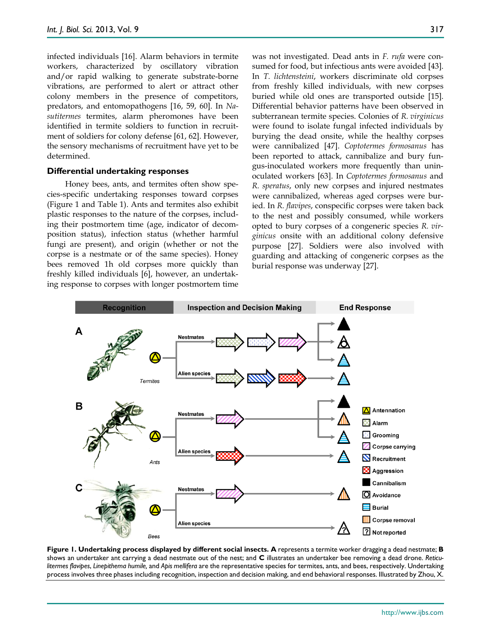infected individuals [\[16\]](#page-7-45). Alarm behaviors in termite workers, characterized by oscillatory vibration and/or rapid walking to generate substrate-borne vibrations, are performed to alert or attract other colony members in the presence of competitors, predators, and entomopathogens [\[16,](#page-7-45) [59,](#page-8-12) [60\]](#page-8-13). In *Nasutitermes* termites, alarm pheromones have been identified in termite soldiers to function in recruitment of soldiers for colony defense [\[61,](#page-8-14) [62\]](#page-8-15). However, the sensory mechanisms of recruitment have yet to be determined.

#### **Differential undertaking responses**

Honey bees, ants, and termites often show species-specific undertaking responses toward corpses (Figure 1 and Table 1). Ants and termites also exhibit plastic responses to the nature of the corpses, including their postmortem time (age, indicator of decomposition status), infection status (whether harmful fungi are present), and origin (whether or not the corpse is a nestmate or of the same species). Honey bees removed 1h old corpses more quickly than freshly killed individuals [\[6\]](#page-7-9), however, an undertaking response to corpses with longer postmortem time

was not investigated. Dead ants in *F. rufa* were consumed for food, but infectious ants were avoided [\[43\]](#page-7-41). In *T. lichtensteini*, workers discriminate old corpses from freshly killed individuals, with new corpses buried while old ones are transported outside [\[15\]](#page-7-14). Differential behavior patterns have been observed in subterranean termite species. Colonies of *R. virginicus* were found to isolate fungal infected individuals by burying the dead onsite, while the healthy corpses were cannibalized [\[47\]](#page-8-0). *Coptotermes formosanus* has been reported to attack, cannibalize and bury fungus-inoculated workers more frequently than uninoculated workers [\[63\]](#page-8-16). In *Coptotermes formosanus* and *R. speratus*, only new corpses and injured nestmates were cannibalized, whereas aged corpses were buried. In *R. flavipes*, conspecific corpses were taken back to the nest and possibly consumed, while workers opted to bury corpses of a congeneric species *R. virginicus* onsite with an additional colony defensive purpose [\[27\]](#page-7-23). Soldiers were also involved with guarding and attacking of congeneric corpses as the burial response was underway [\[27\]](#page-7-23).



**Figure 1. Undertaking process displayed by different social insects. A** represents a termite worker dragging a dead nestmate; **B** shows an undertaker ant carrying a dead nestmate out of the nest; and **C** illustrates an undertaker bee removing a dead drone. *Reticulitermes flavipes*, *Linepithema humile,* and *Apis mellifera* are the representative species for termites, ants, and bees, respectively. Undertaking process involves three phases including recognition, inspection and decision making, and end behavioral responses. Illustrated by Zhou, X.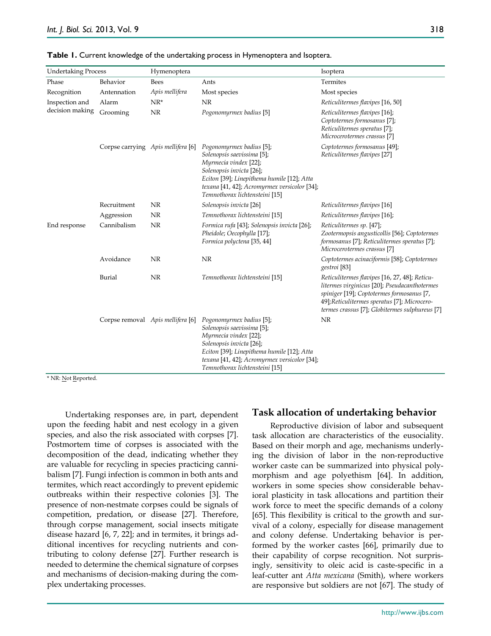| <b>Undertaking Process</b>        |                                    | Hymenoptera                       |                                                                                                                                                                                                                                             | Isoptera                                                                                                                                                                                                                                    |  |
|-----------------------------------|------------------------------------|-----------------------------------|---------------------------------------------------------------------------------------------------------------------------------------------------------------------------------------------------------------------------------------------|---------------------------------------------------------------------------------------------------------------------------------------------------------------------------------------------------------------------------------------------|--|
| Phase                             | Behavior                           | <b>Bees</b>                       | Ants                                                                                                                                                                                                                                        | Termites                                                                                                                                                                                                                                    |  |
| Recognition                       | Antennation                        | Apis mellifera                    | Most species                                                                                                                                                                                                                                | Most species                                                                                                                                                                                                                                |  |
| Inspection and<br>decision making | Alarm                              | $NR^*$                            | NR                                                                                                                                                                                                                                          | Reticulitermes flavipes [16, 50]                                                                                                                                                                                                            |  |
|                                   | Grooming                           | NR                                | Pogonomyrmex badius [5]                                                                                                                                                                                                                     | Reticulitermes flavipes [16];<br>Coptotermes formosanus [7];<br>Reticulitermes speratus [7];<br>Microcerotermes crassus [7]                                                                                                                 |  |
|                                   | Corpse carrying Apis mellifera [6] |                                   | Pogonomyrmex badius [5];<br>Solenopsis saevissima [5];<br>Myrmecia vindex [22];<br>Solenopsis invicta [26];<br>Eciton [39]; Linepithema humile [12]; Atta<br>texana [41, 42]; Acromyrmex versicolor [34];<br>Temnothorax lichtensteini [15] | Coptotermes formosanus [49];<br>Reticulitermes flavipes [27]                                                                                                                                                                                |  |
|                                   | Recruitment                        | NR                                | Solenopsis invicta [26]                                                                                                                                                                                                                     | Reticulitermes flavipes [16]                                                                                                                                                                                                                |  |
|                                   | Aggression                         | NR                                | Temnothorax lichtensteini [15]                                                                                                                                                                                                              | Reticulitermes flavipes [16];                                                                                                                                                                                                               |  |
| End response                      | Cannibalism                        | NR                                | Formica rufa [43]; Solenopsis invicta [26];<br>Pheidole; Oecophylla [17];<br>Formica polyctena [35, 44]                                                                                                                                     | Reticulitermes sp. [47];<br>Zootermopsis angusticollis [56]; Coptotermes<br>formosanus [7]; Reticulitermes speratus [7];<br>Microcerotermes crassus [7]                                                                                     |  |
|                                   | Avoidance                          | NR                                | NR                                                                                                                                                                                                                                          | Coptotermes acinaciformis [58]; Coptotermes<br>gestroi <sup>[83]</sup>                                                                                                                                                                      |  |
|                                   | Burial                             | NR                                | Temnothorax lichtensteini [15]                                                                                                                                                                                                              | Reticulitermes flavipes [16, 27, 48]; Reticu-<br>litermes virginicus [20]; Pseudacanthotermes<br>spiniger [19]; Coptotermes formosanus [7,<br>49];Reticulitermes speratus [7]; Microcero-<br>termes crassus [7]; Globitermes sulphureus [7] |  |
|                                   |                                    | Corpse removal Apis mellifera [6] | Pogonomyrmex badius [5];<br>Solenopsis saevissima [5];<br>Myrmecia vindex [22];<br>Solenopsis invicta [26];<br>Eciton [39]; Linepithema humile [12]; Atta                                                                                   | NR                                                                                                                                                                                                                                          |  |

*texana* [\[41,](#page-7-39) [42\]](#page-7-40); *Acromyrmex versicolor* [\[34\]](#page-7-32);

*Temnothorax lichtensteini* [\[15\]](#page-7-14)

|  |  | Table 1. Current knowledge of the undertaking process in Hymenoptera and Isoptera. |  |  |
|--|--|------------------------------------------------------------------------------------|--|--|
|--|--|------------------------------------------------------------------------------------|--|--|

\* NR: Not Reported.

Undertaking responses are, in part, dependent upon the feeding habit and nest ecology in a given species, and also the risk associated with corpses [\[7\]](#page-7-12). Postmortem time of corpses is associated with the decomposition of the dead, indicating whether they are valuable for recycling in species practicing cannibalism [\[7\]](#page-7-12). Fungi infection is common in both ants and termites, which react accordingly to prevent epidemic outbreaks within their respective colonies [\[3\]](#page-7-2). The presence of non-nestmate corpses could be signals of competition, predation, or disease [\[27\]](#page-7-23). Therefore, through corpse management, social insects mitigate disease hazard [\[6,](#page-7-9) [7,](#page-7-12) [22\]](#page-7-18); and in termites, it brings additional incentives for recycling nutrients and contributing to colony defense [\[27\]](#page-7-23). Further research is needed to determine the chemical signature of corpses and mechanisms of decision-making during the complex undertaking processes.

#### **Task allocation of undertaking behavior**

Reproductive division of labor and subsequent task allocation are characteristics of the eusociality. Based on their morph and age, mechanisms underlying the division of labor in the non-reproductive worker caste can be summarized into physical polymorphism and age polyethism [\[64\]](#page-8-18). In addition, workers in some species show considerable behavioral plasticity in task allocations and partition their work force to meet the specific demands of a colony [\[65\]](#page-8-19). This flexibility is critical to the growth and survival of a colony, especially for disease management and colony defense. Undertaking behavior is performed by the worker castes [\[66\]](#page-8-20), primarily due to their capability of corpse recognition. Not surprisingly, sensitivity to oleic acid is caste-specific in a leaf-cutter ant *Atta mexicana* (Smith), where workers are responsive but soldiers are not [\[67\]](#page-8-21). The study of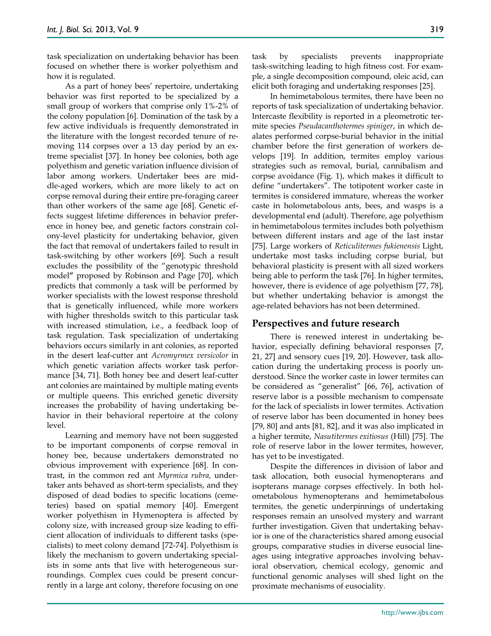task specialization on undertaking behavior has been focused on whether there is worker polyethism and how it is regulated.

As a part of honey bees' repertoire, undertaking behavior was first reported to be specialized by a small group of workers that comprise only 1%-2% of the colony population [\[6\]](#page-7-9). Domination of the task by a few active individuals is frequently demonstrated in the literature with the longest recorded tenure of removing 114 corpses over a 13 day period by an extreme specialist [\[37\]](#page-7-35). In honey bee colonies, both age polyethism and genetic variation influence division of labor among workers. Undertaker bees are middle-aged workers, which are more likely to act on corpse removal during their entire pre-foraging career than other workers of the same age [\[68\]](#page-8-22). Genetic effects suggest lifetime differences in behavior preference in honey bee, and genetic factors constrain colony-level plasticity for undertaking behavior, given the fact that removal of undertakers failed to result in task-switching by other workers [\[69\]](#page-8-23). Such a result excludes the possibility of the "genotypic threshold model**"** proposed by Robinson and Page [\[70\]](#page-8-24), which predicts that commonly a task will be performed by worker specialists with the lowest response threshold that is genetically influenced, while more workers with higher thresholds switch to this particular task with increased stimulation, i.e., a feedback loop of task regulation. Task specialization of undertaking behaviors occurs similarly in ant colonies, as reported in the desert leaf-cutter ant *Acromyrmex versicolor* in which genetic variation affects worker task performance [\[34,](#page-7-32) [71\]](#page-8-25). Both honey bee and desert leaf-cutter ant colonies are maintained by multiple mating events or multiple queens. This enriched genetic diversity increases the probability of having undertaking behavior in their behavioral repertoire at the colony level.

Learning and memory have not been suggested to be important components of corpse removal in honey bee, because undertakers demonstrated no obvious improvement with experience [\[68\]](#page-8-22). In contrast, in the common red ant *Myrmica rubra,* undertaker ants behaved as short-term specialists, and they disposed of dead bodies to specific locations (cemeteries) based on spatial memory [\[40\]](#page-7-38). Emergent worker polyethism in Hymenoptera is affected by colony size, with increased group size leading to efficient allocation of individuals to different tasks (specialists) to meet colony demand [\[72-74\]](#page-8-26). Polyethism is likely the mechanism to govern undertaking specialists in some ants that live with heterogeneous surroundings. Complex cues could be present concurrently in a large ant colony, therefore focusing on one task by specialists prevents inappropriate task-switching leading to high fitness cost. For example, a single decomposition compound, oleic acid, can elicit both foraging and undertaking responses [\[25\]](#page-7-21).

In hemimetabolous termites, there have been no reports of task specialization of undertaking behavior. Intercaste flexibility is reported in a pleometrotic termite species *Pseudacanthotermes spiniger*, in which dealates performed corpse-burial behavior in the initial chamber before the first generation of workers develops [\[19\]](#page-7-17). In addition, termites employ various strategies such as removal, burial, cannibalism and corpse avoidance (Fig. 1), which makes it difficult to define "undertakers". The totipotent worker caste in termites is considered immature, whereas the worker caste in holometabolous ants, bees, and wasps is a developmental end (adult). Therefore, age polyethism in hemimetabolous termites includes both polyethism between different instars and age of the last instar [\[75\]](#page-8-27). Large workers of *Reticulitermes fukienensis* Light, undertake most tasks including corpse burial, but behavioral plasticity is present with all sized workers being able to perform the task [\[76\]](#page-8-28). In higher termites, however, there is evidence of age polyethism [\[77,](#page-8-29) [78\]](#page-7-0), but whether undertaking behavior is amongst the age-related behaviors has not been determined.

#### **Perspectives and future research**

There is renewed interest in undertaking behavior, especially defining behavioral responses [\[7,](#page-7-12) [21,](#page-7-27) [27\]](#page-7-23) and sensory cues [\[19,](#page-7-17) [20\]](#page-7-26). However, task allocation during the undertaking process is poorly understood. Since the worker caste in lower termites can be considered as "generalist" [\[66,](#page-8-20) [76\]](#page-8-28), activation of reserve labor is a possible mechanism to compensate for the lack of specialists in lower termites. Activation of reserve labor has been documented in honey bees [\[79,](#page-8-30) [80\]](#page-8-31) and ants [\[81,](#page-8-32) [82\]](#page-8-33), and it was also implicated in a higher termite, *Nasutitermes exitiosus* (Hill) [\[75\]](#page-8-27). The role of reserve labor in the lower termites, however, has yet to be investigated.

Despite the differences in division of labor and task allocation, both eusocial hymenopterans and isopterans manage corpses effectively. In both holometabolous hymenopterans and hemimetabolous termites, the genetic underpinnings of undertaking responses remain an unsolved mystery and warrant further investigation. Given that undertaking behavior is one of the characteristics shared among eusocial groups, comparative studies in diverse eusocial lineages using integrative approaches involving behavioral observation, chemical ecology, genomic and functional genomic analyses will shed light on the proximate mechanisms of eusociality.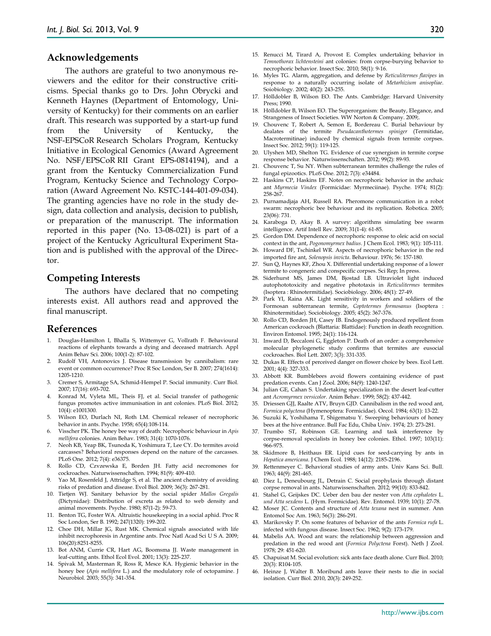#### **Acknowledgements**

The authors are grateful to two anonymous reviewers and the editor for their constructive criticisms. Special thanks go to Drs. John Obrycki and Kenneth Haynes (Department of Entomology, University of Kentucky) for their comments on an earlier draft. This research was supported by a start-up fund from the University of Kentucky, the NSF-EPSCoR Research Scholars Program, Kentucky Initiative in Ecological Genomics (Award Agreement No. NSF/EPSCoR RII Grant EPS-0814194), and a grant from the Kentucky Commercialization Fund Program, Kentucky Science and Technology Corporation (Award Agreement No. KSTC-144-401-09-034). The granting agencies have no role in the study design, data collection and analysis, decision to publish, or preparation of the manuscript. The information reported in this paper (No. 13-08-021) is part of a project of the Kentucky Agricultural Experiment Station and is published with the approval of the Director.

#### **Competing Interests**

The authors have declared that no competing interests exist. All authors read and approved the final manuscript.

#### **References**

- <span id="page-7-0"></span>1. Douglas-Hamilton I, Bhalla S, Wittemyer G, Vollrath F. Behavioural reactions of elephants towards a dying and deceased matriarch. Appl Anim Behav Sci. 2006; 100(1-2): 87-102.
- <span id="page-7-1"></span>2. Rudolf VH, Antonovics J. Disease transmission by cannibalism: rare event or common occurrence? Proc R Soc London, Ser B. 2007; 274(1614): 1205-1210.
- <span id="page-7-2"></span>3. Cremer S, Armitage SA, Schmid-Hempel P. Social immunity. Curr Biol. 2007; 17(16): 693-702.
- <span id="page-7-3"></span>4. Konrad M, Vyleta ML, Theis FJ, et al. Social transfer of pathogenic fungus promotes active immunisation in ant colonies. PLoS Biol. 2012; 10(4): e1001300.
- <span id="page-7-4"></span>5. Wilson EO, Durlach NI, Roth LM. Chemical releaser of necrophoric behavior in ants. Psyche. 1958; 65(4):108-114.
- <span id="page-7-9"></span>6. Visscher PK. The honey bee way of death: Necrophoric behaviour in *Apis mellifera* colonies. Anim Behav. 1983; 31(4): 1070-1076.
- <span id="page-7-12"></span>7. Neoh KB, Yeap BK, Tsunoda K, Yoshimura T, Lee CY. Do termites avoid carcasses? Behavioral responses depend on the nature of the carcasses. PLoS One. 2012; 7(4): e36375.
- <span id="page-7-5"></span>8. Rollo CD, Czvzewska E, Borden JH. Fatty acid necromones for cockroaches. Naturwissenschaften. 1994; 81(9): 409-410.
- <span id="page-7-6"></span>9. Yao M, Rosenfeld J, Attridge S, et al. The ancient chemistry of avoiding risks of predation and disease. Evol Biol. 2009; 36(3): 267-281.
- <span id="page-7-7"></span>10. Tietjen WJ. Sanitary behavior by the social spider *Mallos Gregalis* (Dictynidae): Distribution of excreta as related to web density and animal movements. Psyche. 1980; 87(1-2): 59-73.
- <span id="page-7-8"></span>11. Benton TG, Foster WA. Altruistic housekeeping in a social aphid. Proc R Soc London, Ser B. 1992; 247(1320): 199-202.
- <span id="page-7-10"></span>12. Choe DH, Millar JG, Rust MK. Chemical signals associated with life inhibit necrophoresis in Argentine ants. Proc Natl Acad Sci U S A. 2009; 106(20):8251-8255.
- <span id="page-7-11"></span>13. Bot ANM, Currie CR, Hart AG, Boomsma JJ. Waste management in leaf-cutting ants. Ethol Ecol Evol. 2001; 13(3): 225-237.
- <span id="page-7-13"></span>14. Spivak M, Masterman R, Ross R, Mesce KA. Hygienic behavior in the honey bee (*Apis mellifera* L.) and the modulatory role of octopamine. J Neurobiol. 2003; 55(3): 341-354.
- <span id="page-7-45"></span><span id="page-7-14"></span>16. Myles TG. Alarm, aggregation, and defense by *Reticulitermes flavipes* in response to a naturally occurring isolate of *Metarhizium anisopliae*. Soiobiology. 2002; 40(2): 243-255.
- <span id="page-7-15"></span>17. Hölldobler B, Wilson EO. The Ants. Cambridge: Harvard University Press; 1990.
- <span id="page-7-16"></span>18. Hölldobler B, Wilson EO. The Superorganism: the Beauty, Elegance, and Strangeness of Insect Societies. WW Norton & Company. 2009;
- <span id="page-7-17"></span>19. Chouvenc T, Robert A, Semon E, Bordereau C. Burial behaviour by dealates of the termite *Pseudacanthotermes spiniger* (Termitidae, Macrotermitinae) induced by chemical signals from termite corpses. Insect Soc. 2012; 59(1): 119-125.
- <span id="page-7-26"></span>20. Ulyshen MD, Shelton TG. Evidence of cue synergism in termite corpse response behavior. Naturwissenschaften. 2012; 99(2): 89-93.
- <span id="page-7-27"></span>21. Chouvenc T, Su NY. When subterranean termites challenge the rules of fungal epizootics. PLoS One. 2012; 7(3): e34484.
- <span id="page-7-18"></span>22. Haskins CP, Haskins EF. Notes on necrophoric behavior in the archaic ant *Myrmecia Vindex* (Formicidae: Myrmeciinae). Psyche*.* 1974; 81(2): 258-267.
- <span id="page-7-19"></span>23. Purnamadjaja AH, Russell RA. Pheromone communication in a robot swarm: necrophoric bee behaviour and its replication. Robotica. 2005; 23(06): 731.
- <span id="page-7-20"></span>24. Karaboga D, Akay B. A survey: algorithms simulating bee swarm intelligence. Artif Intell Rev. 2009; 31(1-4): 61-85.
- <span id="page-7-21"></span>25. Gordon DM. Dependence of necrophoric response to oleic acid on social context in the ant, *Pogonomyrmex badius*. J Chem Ecol. 1983; 9(1): 105-111.
- <span id="page-7-22"></span>26. Howard DF, Tschinkel WR. Aspects of necrophoric behavior in the red imported fire ant, *Solenopsis invicta*. Behaviour. 1976; 56: 157-180.
- <span id="page-7-23"></span>27. Sun Q, Haynes KF, Zhou X. Differential undertaking response of a lower termite to congeneric and conspecific corpses. Sci Rep; In press.
- <span id="page-7-24"></span>28. Siderhurst MS, James DM, Bjostad LB. Ultraviolet light induced autophototoxicity and negative phototaxis in *Reticulitermes* termites (Isoptera : Rhinotermitidae). Sociobiology. 2006; 48(1): 27-49.
- <span id="page-7-25"></span>29. Park YI, Raina AK. Light sensitivity in workers and soldiers of the Formosan subterranean termite, *Coptotermes formosanus* (Isoptera : Rhinotermitidae). Sociobiology. 2005; 45(2): 367-376.
- <span id="page-7-28"></span>30. Rollo CD, Borden JH, Casey IB. Endogenously produced repellent from American cockroach (Blattaria: Blattidae): Function in death recognition. Environ Entomol*.* 1995; 24(1): 116-124.
- <span id="page-7-29"></span>31. Inward D, Beccaloni G, Eggleton P. Death of an order: a comprehensive molecular phylogenetic study confirms that termites are eusocial cockroaches. Biol Lett. 2007; 3(3): 331-335.
- <span id="page-7-30"></span>32. Dukas R. Effects of perceived danger on flower choice by bees. Ecol Lett. 2001; 4(4): 327-333.
- <span id="page-7-31"></span>33. Abbott KR. Bumblebees avoid flowers containing evidence of past predation events. Can J Zool. 2006; 84(9): 1240-1247.
- <span id="page-7-32"></span>34. Julian GE, Cahan S. Undertaking specialization in the desert leaf-cutter ant *Acromyrmex versicolor*. Anim Behav. 1999; 58(2): 437-442.
- <span id="page-7-33"></span>35. Driessen GJJ, Raalte ATV, Bruyn GJD. Cannibalism in the red wood ant, *Formica polyctena* (Hymenoptera: Formicidae). Oecol. 1984; 63(1): 13-22.
- <span id="page-7-34"></span>36. Suzuki K, Yoshihama T, Shigematsu Y. Sweeping behaviours of honey bees at the hive entrance. Bull Fac Edu, Chiba Univ. 1974; 23: 273-281.
- <span id="page-7-35"></span>37. Trumbo ST, Robinson GE. Learning and task interference by corpse-removal specialists in honey bee colonies. Ethol. 1997; 103(11): 966-975.
- <span id="page-7-36"></span>38. Skidmore B, Heithaus ER. Lipid cues for seed-carrying by ants in *Hepatica americana*. J Chem Ecol. 1988; 14(12): 2185-2196.
- <span id="page-7-37"></span>39. Rettenmeyer C. Behavioral studies of army ants. Univ Kans Sci. Bull. 1963; 44(9): 281-465.
- <span id="page-7-38"></span>40. Diez L, Deneubourg JL, Detrain C. Social prophylaxis through distant corpse removal in ants. Naturwissenschaften. 2012; 99(10): 833-842.
- <span id="page-7-39"></span>41. Stahel G, Geijskes DC. Ueber den bau der nester von *Atta cephalotes* L. *und Atta sexdens* L. (Hym. Formicidae). Rev. Entomol. 1939; 10(1): 27-78.
- <span id="page-7-40"></span>42. Moser JC. Contents and structure of *Atta texana* nest in summer. Ann Entomol Soc Am. 1963; 56(3): 286-291.
- <span id="page-7-41"></span>43. Marikovsky P. On some features of behavior of the ants *Formica rufa* L. infected with fungous disease. Insect Soc. 1962; 9(2): 173-179.
- <span id="page-7-42"></span>44. Mabelis AA. Wood ant wars: the relationship between aggression and predation in the red wood ant (*Formica Polyctena* Forst). Neth J Zool*.* 1978; 29: 451-620.
- <span id="page-7-43"></span>45. Chapuisat M. Social evolution: sick ants face death alone. Curr Biol. 2010; 20(3): R104-105.
- <span id="page-7-44"></span>46. Heinze J, Walter B. Moribund ants leave their nests to die in social isolation. Curr Biol. 2010, 20(3): 249-252.